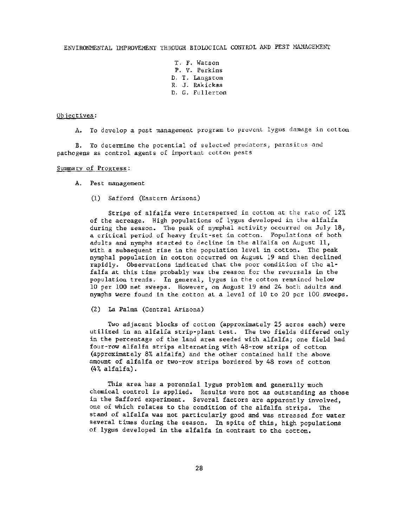T. F. Watson P. V. Perkins D. T. Langston R. J. Rakickas D. G. Fullerton

### Objectives:

A. To develop a pest management program to prevent lygus damage in cotton

B. To determine the potential of selected predators, parasites and pathogens as control agents of important cotton pests

### Summary of Progress:

- A. Pest management
	- (1) Safford (Eastern Arizona)

Strips of alfalfa were interspersed in cotton at the rate of  $12\%$ of the acreage. High populations of 1ygus developed in the alfalfa during the season. The peak of nymphal activity occurred on July 18, a critical period of heavy fruit-set in cotton. Populations of both adults and nymphs started to decline in the alfalfa on August 11. with a subsequent rise in the population level in cotton. The peak nymphal population in cotton occurred on August 19 and then declined rapidly. Observations indicated that the poor condition of the alfalfa at this time probably was the reason for the reversals in the population trends. In general, lygus in the cotton remained below 10 per 100 net sweeps. However, on August 19 and 24 both adults and nymphs were found in the cotton at a level of 10 to 20 per 100 sweeps.

(2) La Palma (Central Arizona)

Two adjacent blocks of cotton (approximately 25 acres each) were utilized in an alfalfa strip-plant test. The two fields differed only in the percentage of the land area seeded with alfalfaj one field had four-row alfalfa strips alternating with 48-row strips of cotton (approximately 8% alfalfa) and the other contained half the above amount of alfalfa or two-row strips bordered by 48 rows of cotton (4% alfalfa).

This area has a perennial lygus problem and generally much chemical control is applied. Results were not as outstanding as those in the Safford experiment. Several factors are apparently involved, one of which relates to the condition of the alfalfa strips. The stand of alfalfa was not particularly good and was stressed for water several times during the season. In spite of this, high populations of lygus developed in the alfalfa in contrast to the cotton.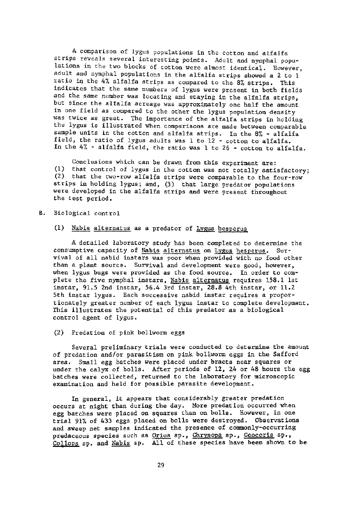A comparison of lygus populations in the cotton and alfalfa strips reveals several interesting points. Adult and nymphal populations in the two blocks of cotton were almost identical. However, adult and nymphal populations in the alfalfa strips showed a 2 to 1 ratio in the 4% alfalfa strips as compared to the 8% strips. This indicates that the same numbers of lygus were present in both fields and the same number was locating and staying in the alfalfa strips, but since the alfalfa acreage was approximately one half the amount in one field as compared to the other the lygus population density was tWice as great. The importance of the alfalfa strips in holding the lygus is illustrated when comparisons are made between comparable sample units in the cotton and alfalfa strips. In the 8% - alfalfa field, the ratio of lygus adults was 1 to 12 - cotton to alfalfa. **In** the 4% - alfalfa field, the ratio was I to 26 - cotton to alfalfa.

Conclusions which can be drawn from this experiment are: (1) that control of lygus in the cotton was not totally satisfactory;<br>(2) that the two-row alfalfa strips were comparable to the four-row that the two-row alfalfa strips were comparable to the four-row strips in holding lygus; and, (3) that large predator populations were developed in the alfalfa strips and were present throughout the test period.

## B. Biological control

# $(1)$  Nabis alternatus as a predator of Lygus hesperus

A detailed laboratory study has been completed to determine the consumptive capacity of Nabis alternatus on Lygus hesperus. Survival of all nabid instars was poor when provided with no food other than a plant source. Survival and development Were good, however, when lygus bugs were provided as the food source. In order to com-<br>plete the five nymphal instars, Nabis alternatus requires 158.1 lst plete the five nymphal instars, Nabis alternatus requires 158.1 lst<br>instar, 91.5 2nd instar, 56.4 3rd instar, 28.8 4th instar, or 11.2 5th instar lygus. Each successive nabid instar requires a proportionately greater number of each lygus instar to complete development. This illustrates the potential of this predator as a biological control agent of lygus.

### (2) Predation of pink bollworm eggs

Several preliminary trials were conducted to determine the amount of predation and/or parasitism on pink bollworm eggs in the Safford area. Small egg batches were placed under bracts near squares or under the calyx of bolls. After periods of 12, 24 or 48 hours the egg batches were collected, returned to the laboratory for microscopic examination and held for possible parasite development.

In general, it appears that considerably greater predation occurs at night than during the day. MOre predation occurred when egg batches were placed on squares than on bolls. However, in one trial 91% of 433 eggs placed on bolls were destroyed. Observations and sweep net samples indicated the presence of commonly-occurring predaceous species such as Orius sp., Chrysopa sp., Geocoris sp., Collops sp. and Nabis sp. All of these species have been shown to be